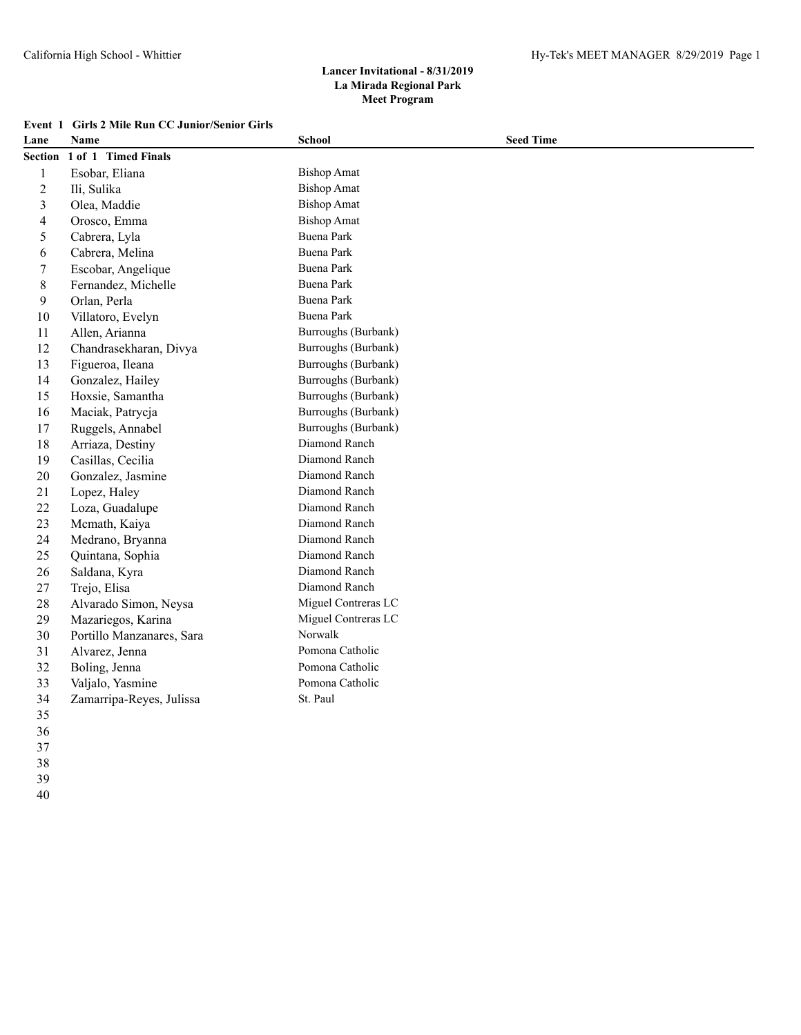| Lane           | Name                      | <b>School</b>       | <b>Seed Time</b> |  |
|----------------|---------------------------|---------------------|------------------|--|
| Section        | 1 of 1 Timed Finals       |                     |                  |  |
| $\mathbf{1}$   | Esobar, Eliana            | <b>Bishop Amat</b>  |                  |  |
| $\overline{c}$ | Ili, Sulika               | <b>Bishop Amat</b>  |                  |  |
| 3              | Olea, Maddie              | <b>Bishop Amat</b>  |                  |  |
| 4              | Orosco, Emma              | <b>Bishop Amat</b>  |                  |  |
| 5              | Cabrera, Lyla             | <b>Buena Park</b>   |                  |  |
| 6              | Cabrera, Melina           | <b>Buena Park</b>   |                  |  |
| 7              | Escobar, Angelique        | Buena Park          |                  |  |
| $8\,$          | Fernandez, Michelle       | <b>Buena Park</b>   |                  |  |
| 9              | Orlan, Perla              | <b>Buena Park</b>   |                  |  |
| 10             | Villatoro, Evelyn         | <b>Buena Park</b>   |                  |  |
| 11             | Allen, Arianna            | Burroughs (Burbank) |                  |  |
| 12             | Chandrasekharan, Divya    | Burroughs (Burbank) |                  |  |
| 13             | Figueroa, Ileana          | Burroughs (Burbank) |                  |  |
| 14             | Gonzalez, Hailey          | Burroughs (Burbank) |                  |  |
| 15             | Hoxsie, Samantha          | Burroughs (Burbank) |                  |  |
| 16             | Maciak, Patrycja          | Burroughs (Burbank) |                  |  |
| 17             | Ruggels, Annabel          | Burroughs (Burbank) |                  |  |
| 18             | Arriaza, Destiny          | Diamond Ranch       |                  |  |
| 19             | Casillas, Cecilia         | Diamond Ranch       |                  |  |
| 20             | Gonzalez, Jasmine         | Diamond Ranch       |                  |  |
| 21             | Lopez, Haley              | Diamond Ranch       |                  |  |
| 22             | Loza, Guadalupe           | Diamond Ranch       |                  |  |
| 23             | Mcmath, Kaiya             | Diamond Ranch       |                  |  |
| 24             | Medrano, Bryanna          | Diamond Ranch       |                  |  |
| 25             | Quintana, Sophia          | Diamond Ranch       |                  |  |
| 26             | Saldana, Kyra             | Diamond Ranch       |                  |  |
| 27             | Trejo, Elisa              | Diamond Ranch       |                  |  |
| 28             | Alvarado Simon, Neysa     | Miguel Contreras LC |                  |  |
| 29             | Mazariegos, Karina        | Miguel Contreras LC |                  |  |
| 30             | Portillo Manzanares, Sara | Norwalk             |                  |  |
| 31             | Alvarez, Jenna            | Pomona Catholic     |                  |  |
| 32             | Boling, Jenna             | Pomona Catholic     |                  |  |
| 33             | Valjalo, Yasmine          | Pomona Catholic     |                  |  |
| 34             | Zamarripa-Reyes, Julissa  | St. Paul            |                  |  |
| 35             |                           |                     |                  |  |
| 36             |                           |                     |                  |  |

- 
- 
- 
- 
-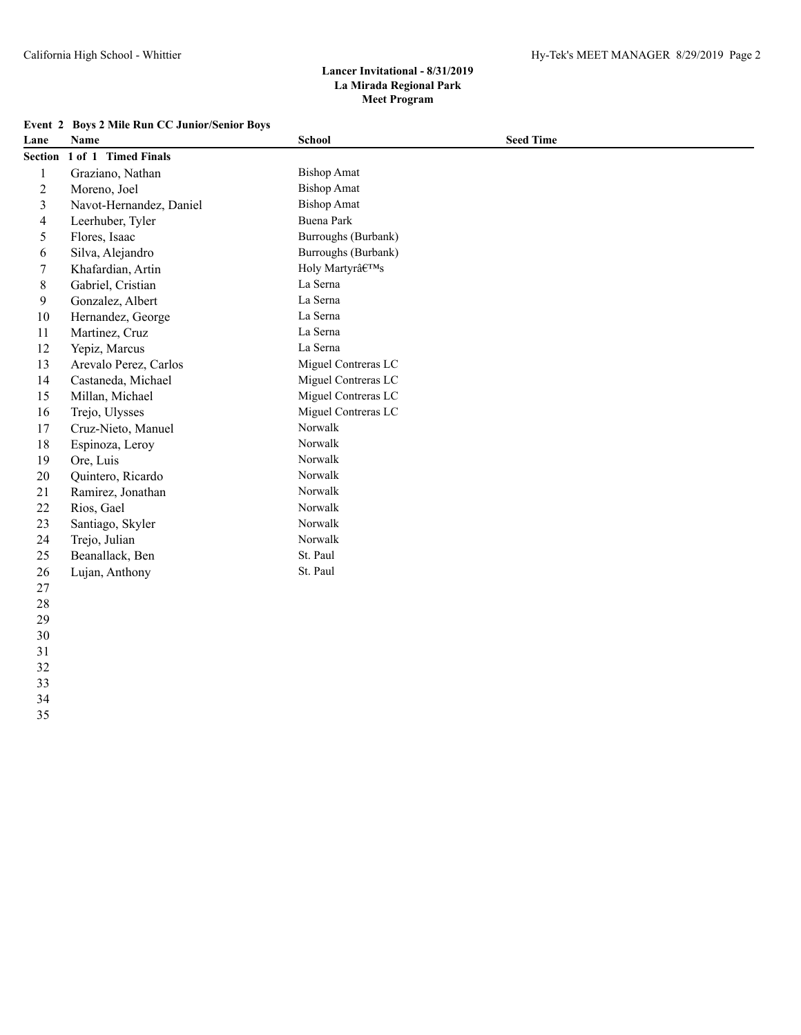|                | Event 2 Boys 2 Mile Run CC Junior/Senior Boys |                     |                  |
|----------------|-----------------------------------------------|---------------------|------------------|
| Lane           | Name                                          | <b>School</b>       | <b>Seed Time</b> |
|                | Section 1 of 1 Timed Finals                   |                     |                  |
| $\mathbf{1}$   | Graziano, Nathan                              | <b>Bishop Amat</b>  |                  |
| $\overline{c}$ | Moreno, Joel                                  | <b>Bishop Amat</b>  |                  |
| 3              | Navot-Hernandez, Daniel                       | <b>Bishop Amat</b>  |                  |
| $\overline{4}$ | Leerhuber, Tyler                              | Buena Park          |                  |
| 5              | Flores, Isaac                                 | Burroughs (Burbank) |                  |
| 6              | Silva, Alejandro                              | Burroughs (Burbank) |                  |
| 7              | Khafardian, Artin                             | Holy Martyr's       |                  |
| 8              | Gabriel, Cristian                             | La Serna            |                  |
| 9              | Gonzalez, Albert                              | La Serna            |                  |
| 10             | Hernandez, George                             | La Serna            |                  |
| 11             | Martinez, Cruz                                | La Serna            |                  |
| 12             | Yepiz, Marcus                                 | La Serna            |                  |
| 13             | Arevalo Perez, Carlos                         | Miguel Contreras LC |                  |
| 14             | Castaneda, Michael                            | Miguel Contreras LC |                  |
| 15             | Millan, Michael                               | Miguel Contreras LC |                  |
| 16             | Trejo, Ulysses                                | Miguel Contreras LC |                  |
| 17             | Cruz-Nieto, Manuel                            | Norwalk             |                  |
| 18             | Espinoza, Leroy                               | Norwalk             |                  |
| 19             | Ore, Luis                                     | Norwalk             |                  |
| 20             | Quintero, Ricardo                             | Norwalk             |                  |
| 21             | Ramirez, Jonathan                             | Norwalk             |                  |
| 22             | Rios, Gael                                    | Norwalk             |                  |
| 23             | Santiago, Skyler                              | Norwalk             |                  |
| 24             | Trejo, Julian                                 | Norwalk             |                  |
| 25             | Beanallack, Ben                               | St. Paul            |                  |
| 26             | Lujan, Anthony                                | St. Paul            |                  |
| 27             |                                               |                     |                  |
| 28             |                                               |                     |                  |

- 
- 
- 
- 
- 
- 
-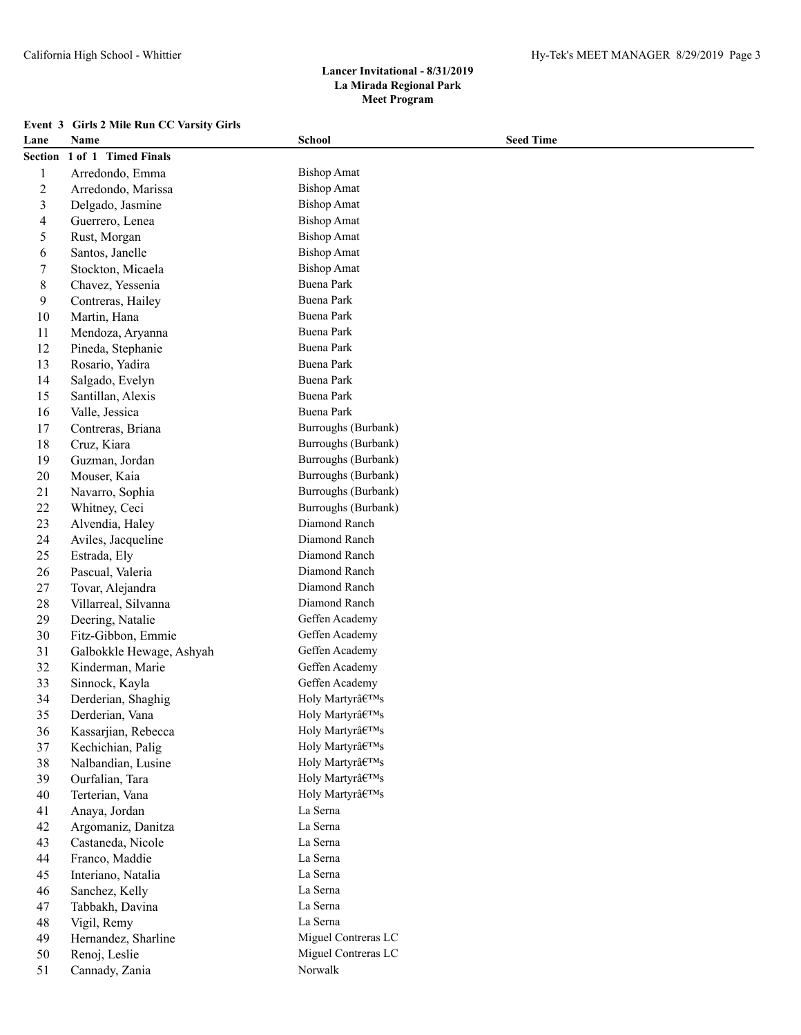# California High School - Whittier Hy-Tek's MEET MANAGER 8/29/2019 Page 3

# **Lancer Invitational - 8/31/2019 La Mirada Regional Park Meet Program**

# **Event 3 Girls 2 Mile Run CC Varsity Girls**

| Lane                     | Name                     | <b>School</b>       | <b>Seed Time</b> |
|--------------------------|--------------------------|---------------------|------------------|
| Section                  | 1 of 1 Timed Finals      |                     |                  |
| $\mathbf{1}$             | Arredondo, Emma          | <b>Bishop Amat</b>  |                  |
| $\overline{c}$           | Arredondo, Marissa       | <b>Bishop Amat</b>  |                  |
| $\overline{\mathbf{3}}$  | Delgado, Jasmine         | <b>Bishop Amat</b>  |                  |
| $\overline{\mathcal{A}}$ | Guerrero, Lenea          | <b>Bishop Amat</b>  |                  |
| 5                        | Rust, Morgan             | <b>Bishop Amat</b>  |                  |
| 6                        | Santos, Janelle          | <b>Bishop Amat</b>  |                  |
| 7                        | Stockton, Micaela        | <b>Bishop Amat</b>  |                  |
| $8\,$                    | Chavez, Yessenia         | <b>Buena Park</b>   |                  |
| 9                        | Contreras, Hailey        | <b>Buena Park</b>   |                  |
| 10                       | Martin, Hana             | <b>Buena Park</b>   |                  |
| 11                       | Mendoza, Aryanna         | <b>Buena Park</b>   |                  |
| 12                       | Pineda, Stephanie        | Buena Park          |                  |
| 13                       | Rosario, Yadira          | <b>Buena Park</b>   |                  |
| 14                       | Salgado, Evelyn          | Buena Park          |                  |
| 15                       | Santillan, Alexis        | Buena Park          |                  |
| 16                       | Valle, Jessica           | <b>Buena Park</b>   |                  |
| 17                       | Contreras, Briana        | Burroughs (Burbank) |                  |
| 18                       | Cruz, Kiara              | Burroughs (Burbank) |                  |
| 19                       | Guzman, Jordan           | Burroughs (Burbank) |                  |
| $20\,$                   | Mouser, Kaia             | Burroughs (Burbank) |                  |
| 21                       | Navarro, Sophia          | Burroughs (Burbank) |                  |
| 22                       | Whitney, Ceci            | Burroughs (Burbank) |                  |
| 23                       | Alvendia, Haley          | Diamond Ranch       |                  |
| 24                       | Aviles, Jacqueline       | Diamond Ranch       |                  |
| 25                       | Estrada, Ely             | Diamond Ranch       |                  |
| 26                       | Pascual, Valeria         | Diamond Ranch       |                  |
| $27\,$                   | Tovar, Alejandra         | Diamond Ranch       |                  |
| 28                       | Villarreal, Silvanna     | Diamond Ranch       |                  |
| 29                       | Deering, Natalie         | Geffen Academy      |                  |
| 30                       | Fitz-Gibbon, Emmie       | Geffen Academy      |                  |
| 31                       | Galbokkle Hewage, Ashyah | Geffen Academy      |                  |
| 32                       | Kinderman, Marie         | Geffen Academy      |                  |
| 33                       | Sinnock, Kayla           | Geffen Academy      |                  |
| 34                       | Derderian, Shaghig       | Holy Martyr's       |                  |
| 35                       | Derderian, Vana          | Holy Martyr's       |                  |
| 36                       | Kassarjian, Rebecca      | Holy Martyr's       |                  |
| 37                       | Kechichian, Palig        | Holy Martyr's       |                  |
| 38                       | Nalbandian, Lusine       | Holy Martyr's       |                  |
| 39                       | Ourfalian, Tara          | Holy Martyr's       |                  |
| 40                       | Terterian, Vana          | Holy Martyr's       |                  |
| 41                       | Anaya, Jordan            | La Serna            |                  |
| 42                       | Argomaniz, Danitza       | La Serna            |                  |
| 43                       | Castaneda, Nicole        | La Serna            |                  |
| 44                       | Franco, Maddie           | La Serna            |                  |
| 45                       | Interiano, Natalia       | La Serna            |                  |
| 46                       | Sanchez, Kelly           | La Serna            |                  |
| 47                       | Tabbakh, Davina          | La Serna            |                  |
| 48                       | Vigil, Remy              | La Serna            |                  |
| 49                       | Hernandez, Sharline      | Miguel Contreras LC |                  |
| 50                       | Renoj, Leslie            | Miguel Contreras LC |                  |
| 51                       | Cannady, Zania           | Norwalk             |                  |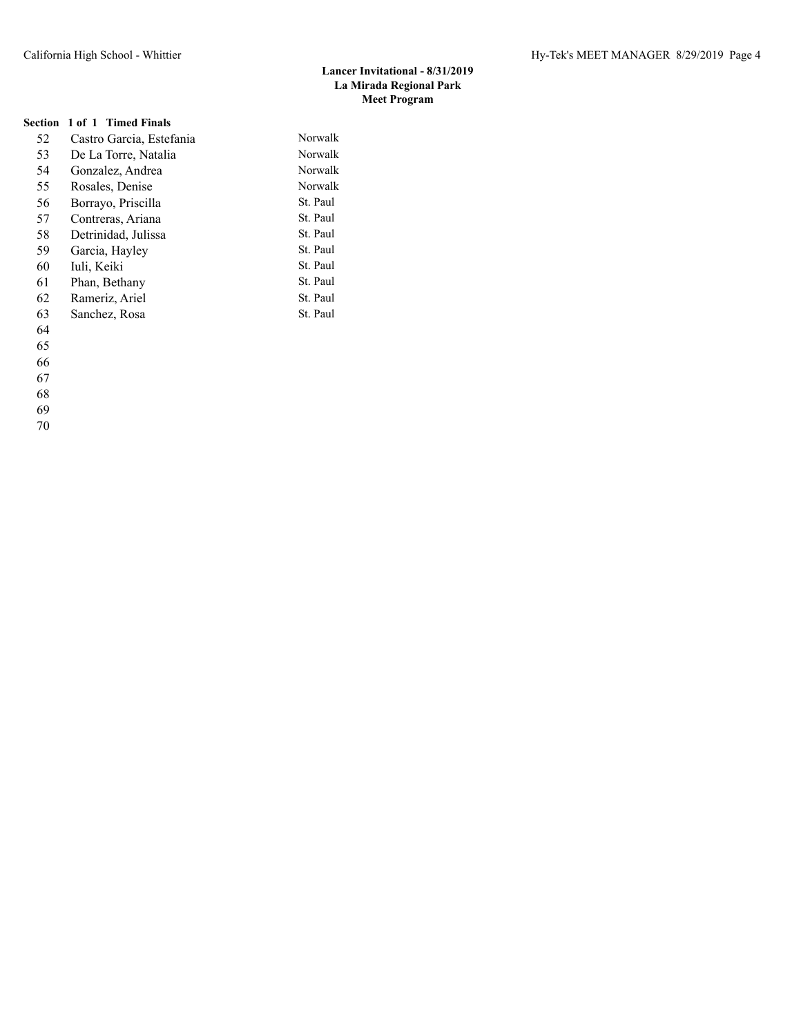# **Section 1 of 1 Timed Finals**

| Castro Garcia, Estefania | Norwalk  |
|--------------------------|----------|
| De La Torre, Natalia     | Norwalk  |
| Gonzalez, Andrea         | Norwalk  |
| Rosales, Denise          | Norwalk  |
| Borrayo, Priscilla       | St. Paul |
| Contreras, Ariana        | St. Paul |
| Detrinidad, Julissa      | St. Paul |
| Garcia, Hayley           | St. Paul |
| Iuli, Keiki              | St. Paul |
| Phan, Bethany            | St. Paul |
| Rameriz, Ariel           | St. Paul |
| Sanchez, Rosa            | St. Paul |
|                          |          |
|                          |          |
|                          |          |
|                          |          |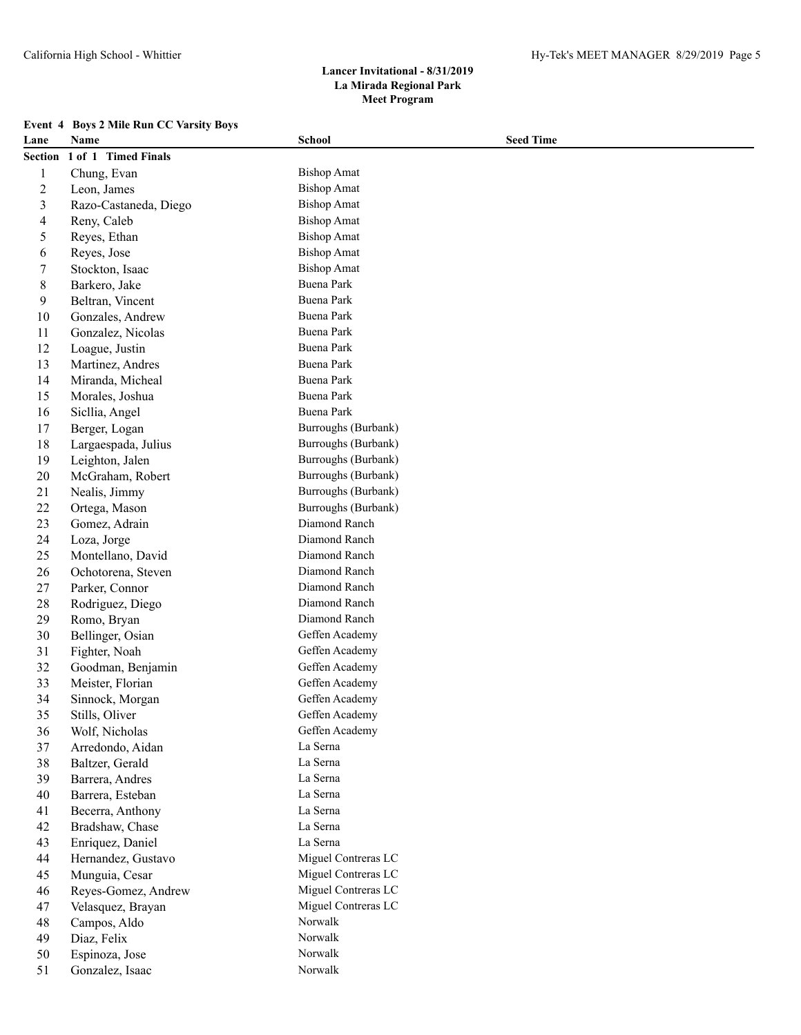| <b>Event 4 Boys 2 Mile Run CC Varsity Boys</b> |  |  |
|------------------------------------------------|--|--|
|                                                |  |  |

| Lane                     | Name                  | <b>School</b>                        | <b>Seed Time</b> |
|--------------------------|-----------------------|--------------------------------------|------------------|
| Section                  | 1 of 1 Timed Finals   |                                      |                  |
| 1                        | Chung, Evan           | <b>Bishop Amat</b>                   |                  |
| $\overline{c}$           | Leon, James           | <b>Bishop Amat</b>                   |                  |
| 3                        | Razo-Castaneda, Diego | <b>Bishop Amat</b>                   |                  |
| $\overline{\mathcal{A}}$ | Reny, Caleb           | <b>Bishop Amat</b>                   |                  |
| 5                        | Reyes, Ethan          | <b>Bishop Amat</b>                   |                  |
| 6                        | Reyes, Jose           | <b>Bishop Amat</b>                   |                  |
| 7                        | Stockton, Isaac       | <b>Bishop Amat</b>                   |                  |
| 8                        | Barkero, Jake         | <b>Buena Park</b>                    |                  |
| 9                        | Beltran, Vincent      | <b>Buena Park</b>                    |                  |
| 10                       | Gonzales, Andrew      | Buena Park                           |                  |
| 11                       | Gonzalez, Nicolas     | <b>Buena Park</b>                    |                  |
| 12                       | Loague, Justin        | Buena Park                           |                  |
| 13                       | Martinez, Andres      | Buena Park                           |                  |
| 14                       | Miranda, Micheal      | Buena Park                           |                  |
| 15                       | Morales, Joshua       | <b>Buena Park</b>                    |                  |
| 16                       |                       | Buena Park                           |                  |
| 17                       | Sicllia, Angel        | Burroughs (Burbank)                  |                  |
|                          | Berger, Logan         | Burroughs (Burbank)                  |                  |
| 18                       | Largaespada, Julius   | Burroughs (Burbank)                  |                  |
| 19                       | Leighton, Jalen       | Burroughs (Burbank)                  |                  |
| 20                       | McGraham, Robert      |                                      |                  |
| 21                       | Nealis, Jimmy         | Burroughs (Burbank)                  |                  |
| 22                       | Ortega, Mason         | Burroughs (Burbank)<br>Diamond Ranch |                  |
| 23                       | Gomez, Adrain         | Diamond Ranch                        |                  |
| 24                       | Loza, Jorge           | Diamond Ranch                        |                  |
| 25                       | Montellano, David     | Diamond Ranch                        |                  |
| 26<br>27                 | Ochotorena, Steven    | Diamond Ranch                        |                  |
|                          | Parker, Connor        | Diamond Ranch                        |                  |
| 28<br>29                 | Rodriguez, Diego      | Diamond Ranch                        |                  |
|                          | Romo, Bryan           | Geffen Academy                       |                  |
| 30                       | Bellinger, Osian      |                                      |                  |
| 31                       | Fighter, Noah         | Geffen Academy                       |                  |
| 32                       | Goodman, Benjamin     | Geffen Academy                       |                  |
| 33                       | Meister, Florian      | Geffen Academy                       |                  |
| 34                       | Sinnock, Morgan       | Geffen Academy                       |                  |
| 35                       | Stills, Oliver        | Geffen Academy                       |                  |
| 36                       | Wolf, Nicholas        | Geffen Academy                       |                  |
| 37                       | Arredondo, Aidan      | La Serna                             |                  |
| 38                       | Baltzer, Gerald       | La Serna                             |                  |
| 39                       | Barrera, Andres       | La Serna                             |                  |
| 40                       | Barrera, Esteban      | La Serna<br>La Serna                 |                  |
| 41                       | Becerra, Anthony      |                                      |                  |
| 42                       | Bradshaw, Chase       | La Serna                             |                  |
| 43                       | Enriquez, Daniel      | La Serna                             |                  |
| 44                       | Hernandez, Gustavo    | Miguel Contreras LC                  |                  |
| 45                       | Munguia, Cesar        | Miguel Contreras LC                  |                  |
| 46                       | Reyes-Gomez, Andrew   | Miguel Contreras LC                  |                  |
| 47                       | Velasquez, Brayan     | Miguel Contreras LC                  |                  |
| 48                       | Campos, Aldo          | Norwalk                              |                  |
| 49                       | Diaz, Felix           | Norwalk                              |                  |
| 50                       | Espinoza, Jose        | Norwalk                              |                  |
| 51                       | Gonzalez, Isaac       | Norwalk                              |                  |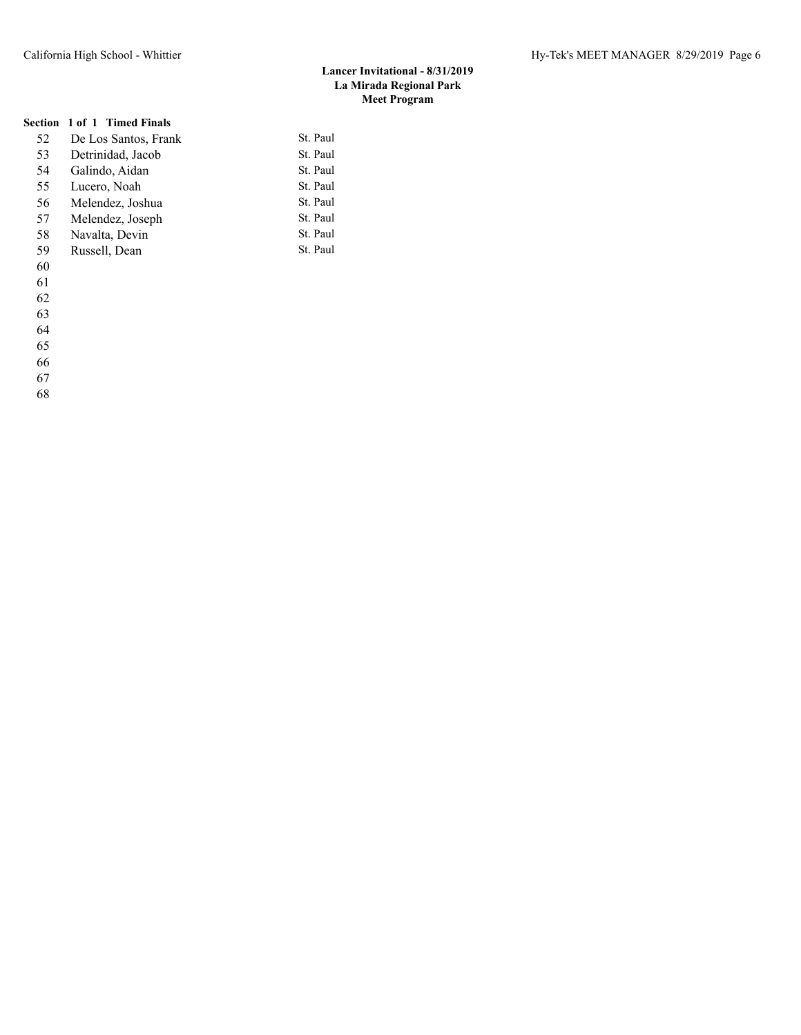# **Section 1 of 1 Timed Finals**

| 52 | De Los Santos, Frank | St. Paul |
|----|----------------------|----------|
| 53 | Detrinidad, Jacob    | St. Paul |
| 54 | Galindo, Aidan       | St. Paul |
| 55 | Lucero, Noah         | St. Paul |
| 56 | Melendez, Joshua     | St. Paul |
| 57 | Melendez, Joseph     | St. Paul |
| 58 | Navalta, Devin       | St. Paul |
| 59 | Russell, Dean        | St. Paul |
| 60 |                      |          |

- 
- 

- 
- 
- 
- 
- 
-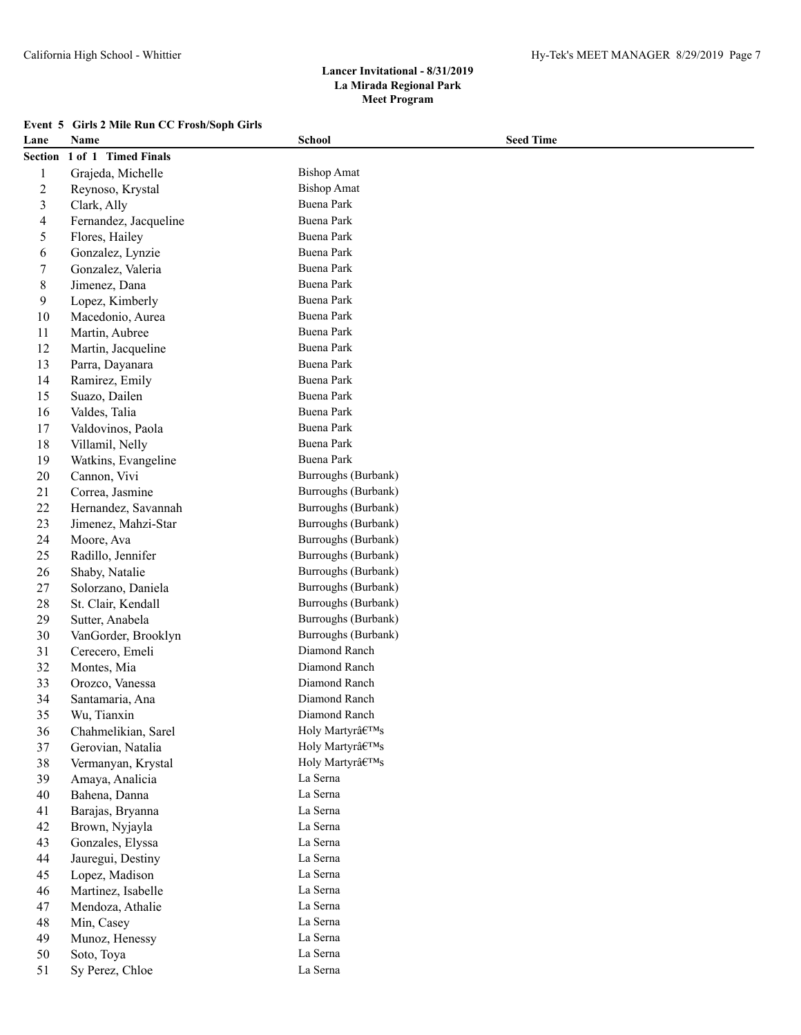| Event 5 Girls 2 Mile Run CC Frosh/Soph Girls |
|----------------------------------------------|
|----------------------------------------------|

| Lane           | Name                  | <b>School</b>       | <b>Seed Time</b> |
|----------------|-----------------------|---------------------|------------------|
| <b>Section</b> | 1 of 1 Timed Finals   |                     |                  |
| 1              | Grajeda, Michelle     | <b>Bishop Amat</b>  |                  |
| $\overline{2}$ | Reynoso, Krystal      | <b>Bishop Amat</b>  |                  |
| 3              | Clark, Ally           | <b>Buena Park</b>   |                  |
| 4              | Fernandez, Jacqueline | <b>Buena Park</b>   |                  |
| 5              | Flores, Hailey        | Buena Park          |                  |
| 6              | Gonzalez, Lynzie      | Buena Park          |                  |
| $\overline{7}$ | Gonzalez, Valeria     | Buena Park          |                  |
| 8              | Jimenez, Dana         | Buena Park          |                  |
| 9              | Lopez, Kimberly       | Buena Park          |                  |
| 10             | Macedonio, Aurea      | Buena Park          |                  |
| 11             | Martin, Aubree        | Buena Park          |                  |
| 12             | Martin, Jacqueline    | Buena Park          |                  |
| 13             | Parra, Dayanara       | Buena Park          |                  |
| 14             | Ramirez, Emily        | Buena Park          |                  |
| 15             | Suazo, Dailen         | <b>Buena Park</b>   |                  |
| 16             | Valdes, Talia         | Buena Park          |                  |
| 17             | Valdovinos, Paola     | Buena Park          |                  |
| $18\,$         | Villamil, Nelly       | Buena Park          |                  |
| 19             | Watkins, Evangeline   | Buena Park          |                  |
| $20\,$         | Cannon, Vivi          | Burroughs (Burbank) |                  |
| 21             | Correa, Jasmine       | Burroughs (Burbank) |                  |
| 22             | Hernandez, Savannah   | Burroughs (Burbank) |                  |
| 23             | Jimenez, Mahzi-Star   | Burroughs (Burbank) |                  |
| 24             | Moore, Ava            | Burroughs (Burbank) |                  |
| 25             | Radillo, Jennifer     | Burroughs (Burbank) |                  |
| 26             | Shaby, Natalie        | Burroughs (Burbank) |                  |
| $27\,$         | Solorzano, Daniela    | Burroughs (Burbank) |                  |
| 28             | St. Clair, Kendall    | Burroughs (Burbank) |                  |
| 29             | Sutter, Anabela       | Burroughs (Burbank) |                  |
| 30             | VanGorder, Brooklyn   | Burroughs (Burbank) |                  |
| 31             | Cerecero, Emeli       | Diamond Ranch       |                  |
| 32             | Montes, Mia           | Diamond Ranch       |                  |
| 33             | Orozco, Vanessa       | Diamond Ranch       |                  |
| 34             | Santamaria, Ana       | Diamond Ranch       |                  |
| 35             | Wu, Tianxin           | Diamond Ranch       |                  |
| 36             | Chahmelikian, Sarel   | Holy Martyr's       |                  |
| 37             | Gerovian, Natalia     | Holy Martyr's       |                  |
| 38             | Vermanyan, Krystal    | Holy Martyr's       |                  |
| 39             | Amaya, Analicia       | La Serna            |                  |
| 40             | Bahena, Danna         | La Serna            |                  |
| 41             | Barajas, Bryanna      | La Serna            |                  |
| 42             | Brown, Nyjayla        | La Serna            |                  |
| 43             | Gonzales, Elyssa      | La Serna            |                  |
| 44             | Jauregui, Destiny     | La Serna            |                  |
| 45             | Lopez, Madison        | La Serna            |                  |
| 46             | Martinez, Isabelle    | La Serna            |                  |
| 47             | Mendoza, Athalie      | La Serna            |                  |
| 48             | Min, Casey            | La Serna            |                  |
| 49             | Munoz, Henessy        | La Serna            |                  |
| 50             | Soto, Toya            | La Serna            |                  |
| 51             | Sy Perez, Chloe       | La Serna            |                  |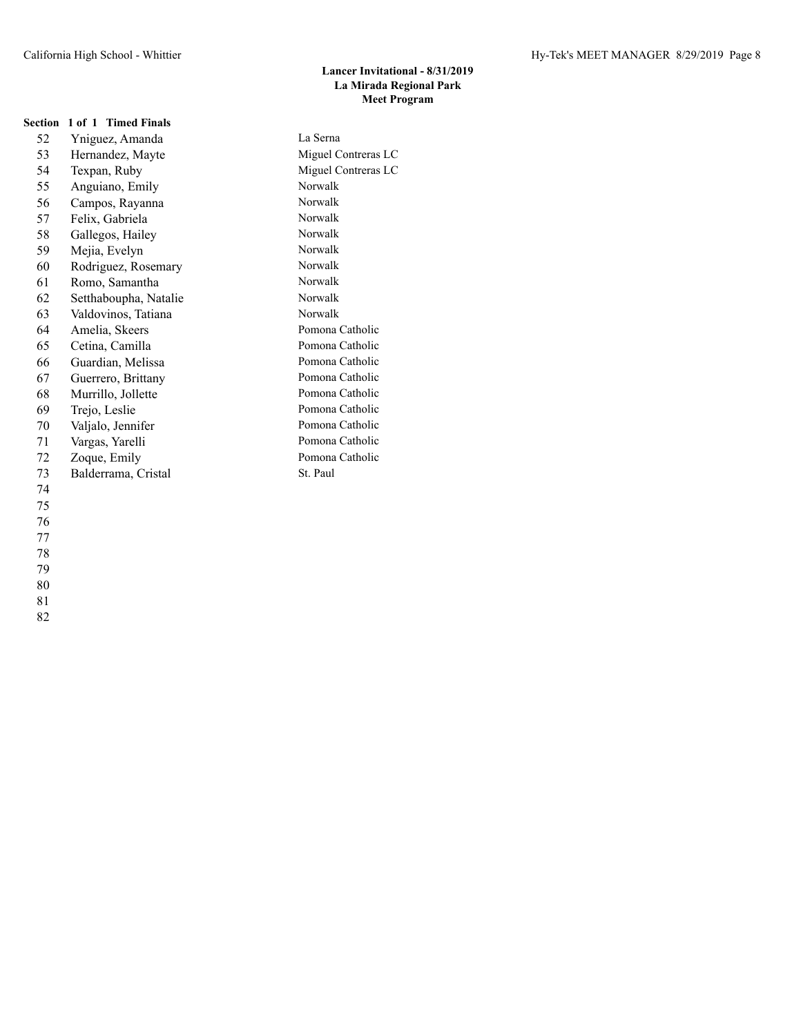| <b>Section</b> | 1 of 1 Timed Finals   |                     |
|----------------|-----------------------|---------------------|
| 52             | Yniguez, Amanda       | La Serna            |
| 53             | Hernandez, Mayte      | Miguel Contreras LC |
| 54             | Texpan, Ruby          | Miguel Contreras LC |
| 55             | Anguiano, Emily       | Norwalk             |
| 56             | Campos, Rayanna       | Norwalk             |
| 57             | Felix, Gabriela       | Norwalk             |
| 58             | Gallegos, Hailey      | Norwalk             |
| 59             | Mejia, Evelyn         | Norwalk             |
| 60             | Rodriguez, Rosemary   | Norwalk             |
| 61             | Romo, Samantha        | Norwalk             |
| 62             | Setthaboupha, Natalie | Norwalk             |
| 63             | Valdovinos, Tatiana   | Norwalk             |
| 64             | Amelia, Skeers        | Pomona Catholic     |
| 65             | Cetina, Camilla       | Pomona Catholic     |
| 66             | Guardian, Melissa     | Pomona Catholic     |
| 67             | Guerrero, Brittany    | Pomona Catholic     |
| 68             | Murrillo, Jollette    | Pomona Catholic     |
| 69             | Trejo, Leslie         | Pomona Catholic     |
| 70             | Valjalo, Jennifer     | Pomona Catholic     |
| 71             | Vargas, Yarelli       | Pomona Catholic     |
| 72             | Zoque, Emily          | Pomona Catholic     |
| 73             | Balderrama, Cristal   | St. Paul            |
| 74             |                       |                     |
| 75             |                       |                     |
| 76             |                       |                     |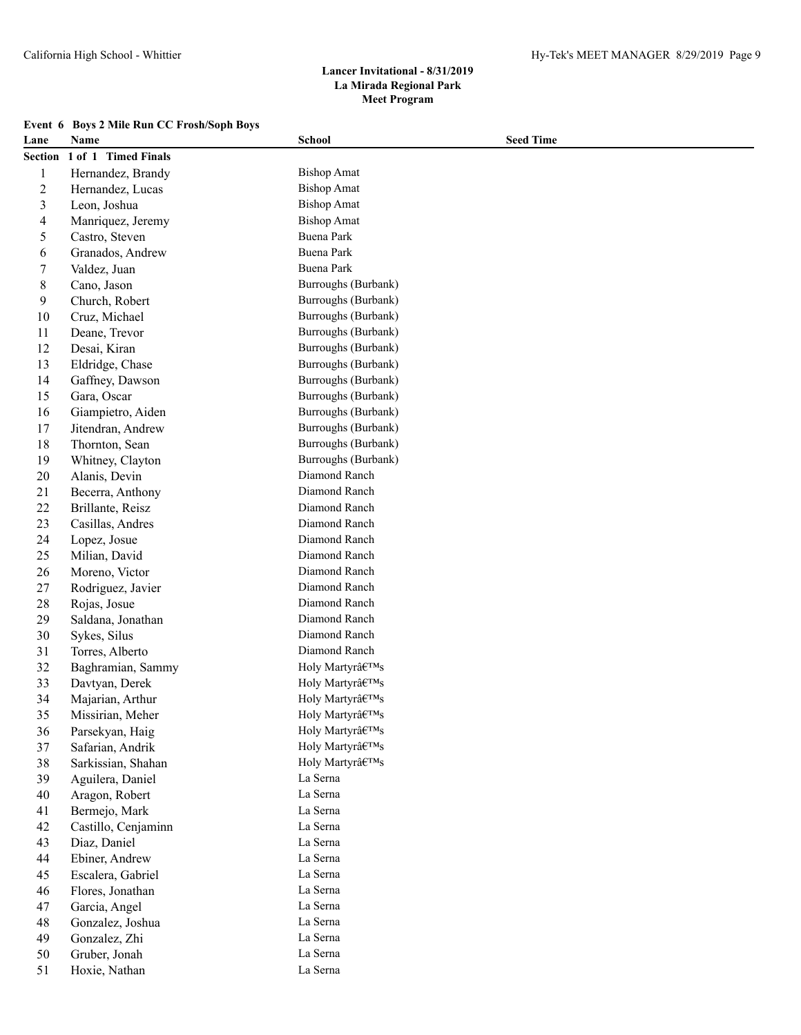|  |  |  | Event 6 Boys 2 Mile Run CC Frosh/Soph Boys |  |  |  |  |
|--|--|--|--------------------------------------------|--|--|--|--|
|--|--|--|--------------------------------------------|--|--|--|--|

| Lane             | Name                | <b>School</b>                      | <b>Seed Time</b> |
|------------------|---------------------|------------------------------------|------------------|
| <b>Section</b>   | 1 of 1 Timed Finals |                                    |                  |
| 1                | Hernandez, Brandy   | <b>Bishop Amat</b>                 |                  |
| $\overline{c}$   | Hernandez, Lucas    | <b>Bishop Amat</b>                 |                  |
| $\mathfrak{Z}$   | Leon, Joshua        | <b>Bishop Amat</b>                 |                  |
| 4                | Manriquez, Jeremy   | <b>Bishop Amat</b>                 |                  |
| 5                | Castro, Steven      | Buena Park                         |                  |
| 6                | Granados, Andrew    | Buena Park                         |                  |
| $\boldsymbol{7}$ | Valdez, Juan        | <b>Buena Park</b>                  |                  |
| 8                | Cano, Jason         | Burroughs (Burbank)                |                  |
| 9                | Church, Robert      | Burroughs (Burbank)                |                  |
| $10\,$           | Cruz, Michael       | Burroughs (Burbank)                |                  |
| 11               | Deane, Trevor       | Burroughs (Burbank)                |                  |
| 12               | Desai, Kiran        | Burroughs (Burbank)                |                  |
| 13               | Eldridge, Chase     | Burroughs (Burbank)                |                  |
| 14               | Gaffney, Dawson     | Burroughs (Burbank)                |                  |
| 15               | Gara, Oscar         | Burroughs (Burbank)                |                  |
| 16               | Giampietro, Aiden   | Burroughs (Burbank)                |                  |
| 17               | Jitendran, Andrew   | Burroughs (Burbank)                |                  |
| 18               | Thornton, Sean      | Burroughs (Burbank)                |                  |
| 19               | Whitney, Clayton    | Burroughs (Burbank)                |                  |
| $20\,$           | Alanis, Devin       | Diamond Ranch                      |                  |
| 21               | Becerra, Anthony    | Diamond Ranch                      |                  |
| $22\,$           | Brillante, Reisz    | Diamond Ranch                      |                  |
| 23               | Casillas, Andres    | Diamond Ranch                      |                  |
| 24               | Lopez, Josue        | Diamond Ranch                      |                  |
| 25               | Milian, David       | Diamond Ranch                      |                  |
| 26               | Moreno, Victor      | Diamond Ranch                      |                  |
| 27               | Rodriguez, Javier   | Diamond Ranch                      |                  |
| 28               | Rojas, Josue        | Diamond Ranch                      |                  |
| 29               | Saldana, Jonathan   | Diamond Ranch                      |                  |
| 30               | Sykes, Silus        | Diamond Ranch                      |                  |
| 31               | Torres, Alberto     | Diamond Ranch                      |                  |
| 32               | Baghramian, Sammy   | Holy Martyr's                      |                  |
| 33               | Davtyan, Derek      | Holy Martyrâ<br>$\mathsf{F^{TM}S}$ |                  |
| 34               | Majarian, Arthur    | Holy Martyr's                      |                  |
| 35               | Missirian, Meher    | Holy Martyr's                      |                  |
| 36               | Parsekyan, Haig     | Holy Martyr's                      |                  |
| 37               | Safarian, Andrik    | Holy Martyr's                      |                  |
| 38               | Sarkissian, Shahan  | Holy Martyr's                      |                  |
| 39               | Aguilera, Daniel    | La Serna                           |                  |
| 40               | Aragon, Robert      | La Serna                           |                  |
| 41               | Bermejo, Mark       | La Serna                           |                  |
| 42               | Castillo, Cenjaminn | La Serna                           |                  |
| 43               | Diaz, Daniel        | La Serna                           |                  |
| 44               | Ebiner, Andrew      | La Serna                           |                  |
| 45               | Escalera, Gabriel   | La Serna                           |                  |
| 46               | Flores, Jonathan    | La Serna                           |                  |
| 47               | Garcia, Angel       | La Serna                           |                  |
| 48               | Gonzalez, Joshua    | La Serna                           |                  |
| 49               | Gonzalez, Zhi       | La Serna                           |                  |
| 50               | Gruber, Jonah       | La Serna                           |                  |
| 51               | Hoxie, Nathan       | La Serna                           |                  |